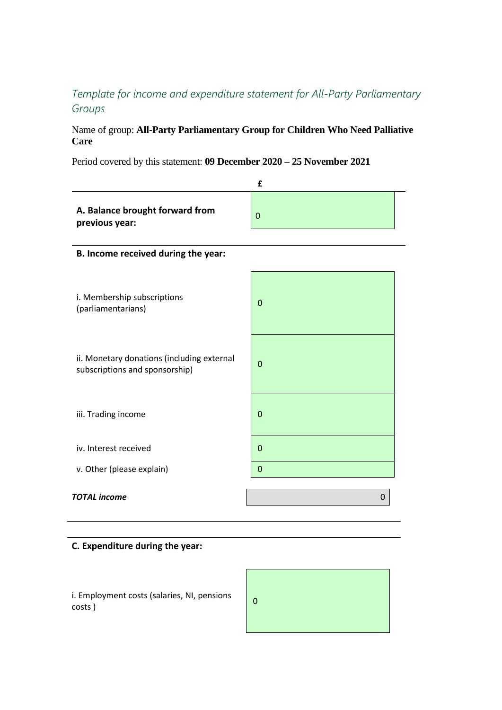## *Template for income and expenditure statement for All-Party Parliamentary Groups*

## Name of group: **All-Party Parliamentary Group for Children Who Need Palliative Care**

Period covered by this statement: **09 December 2020 – 25 November 2021**

|                                                                              | £              |  |
|------------------------------------------------------------------------------|----------------|--|
| A. Balance brought forward from<br>previous year:                            | 0              |  |
| B. Income received during the year:                                          |                |  |
| i. Membership subscriptions<br>(parliamentarians)                            | $\mathbf 0$    |  |
| ii. Monetary donations (including external<br>subscriptions and sponsorship) | $\overline{0}$ |  |
| iii. Trading income                                                          | $\overline{0}$ |  |
| iv. Interest received                                                        | $\mathbf 0$    |  |
| v. Other (please explain)                                                    | $\mathbf 0$    |  |
| <b>TOTAL</b> income                                                          | 0              |  |

## **C. Expenditure during the year:**

i. Employment costs (salaries, NI, pensions (100)